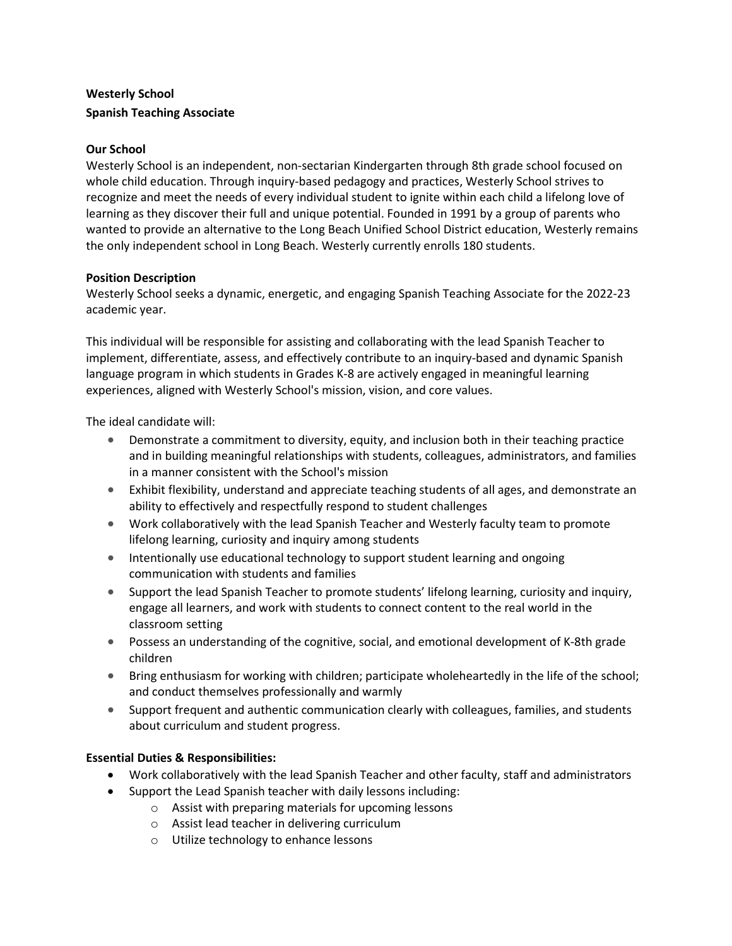# Westerly School Spanish Teaching Associate

### Our School

Westerly School is an independent, non-sectarian Kindergarten through 8th grade school focused on whole child education. Through inquiry-based pedagogy and practices, Westerly School strives to recognize and meet the needs of every individual student to ignite within each child a lifelong love of learning as they discover their full and unique potential. Founded in 1991 by a group of parents who wanted to provide an alternative to the Long Beach Unified School District education, Westerly remains the only independent school in Long Beach. Westerly currently enrolls 180 students.

#### Position Description

Westerly School seeks a dynamic, energetic, and engaging Spanish Teaching Associate for the 2022-23 academic year.

This individual will be responsible for assisting and collaborating with the lead Spanish Teacher to implement, differentiate, assess, and effectively contribute to an inquiry-based and dynamic Spanish language program in which students in Grades K-8 are actively engaged in meaningful learning experiences, aligned with Westerly School's mission, vision, and core values.

The ideal candidate will:

- Demonstrate a commitment to diversity, equity, and inclusion both in their teaching practice and in building meaningful relationships with students, colleagues, administrators, and families in a manner consistent with the School's mission
- Exhibit flexibility, understand and appreciate teaching students of all ages, and demonstrate an ability to effectively and respectfully respond to student challenges
- Work collaboratively with the lead Spanish Teacher and Westerly faculty team to promote lifelong learning, curiosity and inquiry among students
- **Intentionally use educational technology to support student learning and ongoing** communication with students and families
- Support the lead Spanish Teacher to promote students' lifelong learning, curiosity and inquiry, engage all learners, and work with students to connect content to the real world in the classroom setting
- Possess an understanding of the cognitive, social, and emotional development of K-8th grade children
- Bring enthusiasm for working with children; participate wholeheartedly in the life of the school; and conduct themselves professionally and warmly
- Support frequent and authentic communication clearly with colleagues, families, and students about curriculum and student progress.

## Essential Duties & Responsibilities:

- Work collaboratively with the lead Spanish Teacher and other faculty, staff and administrators
- Support the Lead Spanish teacher with daily lessons including:
	- o Assist with preparing materials for upcoming lessons
	- o Assist lead teacher in delivering curriculum
	- o Utilize technology to enhance lessons